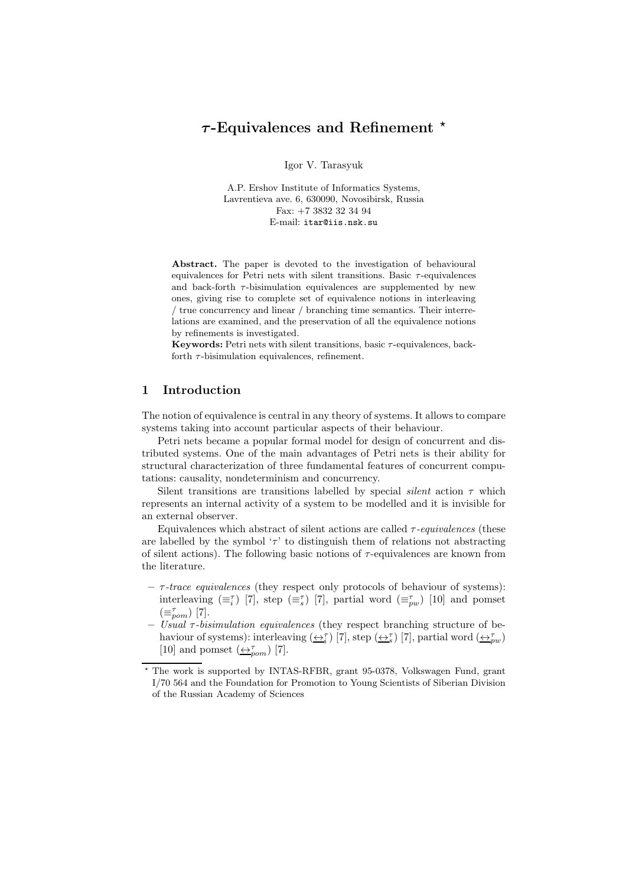# $\tau$ -Equivalences and Refinement  $*$

Igor V. Tarasyuk

A.P. Ershov Institute of Informatics Systems, Lavrentieva ave. 6, 630090, Novosibirsk, Russia Fax: +7 3832 32 34 94 E-mail: itar@iis.nsk.su

Abstract. The paper is devoted to the investigation of behavioural equivalences for Petri nets with silent transitions. Basic  $\tau$ -equivalences and back-forth  $\tau$ -bisimulation equivalences are supplemented by new ones, giving rise to complete set of equivalence notions in interleaving / true concurrency and linear / branching time semantics. Their interrelations are examined, and the preservation of all the equivalence notions by refinements is investigated.

Keywords: Petri nets with silent transitions, basic  $\tau$ -equivalences, backforth  $\tau$ -bisimulation equivalences, refinement.

# 1 Introduction

The notion of equivalence is central in any theory of systems. It allows to compare systems taking into account particular aspects of their behaviour.

Petri nets became a popular formal model for design of concurrent and distributed systems. One of the main advantages of Petri nets is their ability for structural characterization of three fundamental features of concurrent computations: causality, nondeterminism and concurrency.

Silent transitions are transitions labelled by special *silent* action  $\tau$  which represents an internal activity of a system to be modelled and it is invisible for an external observer.

Equivalences which abstract of silent actions are called τ*-equivalences* (these are labelled by the symbol ' $\tau$ ' to distinguish them of relations not abstracting of silent actions). The following basic notions of  $\tau$ -equivalences are known from the literature.

- τ*-trace equivalences* (they respect only protocols of behaviour of systems): interleaving  $(\equiv_i^{\tau})$  [7], step  $(\equiv_s^{\tau})$  [7], partial word  $(\equiv_{pw}^{\tau})$  [10] and pomset  $(\equiv_{pom}^\tau)$  [7].
- *Usual* τ*-bisimulation equivalences* (they respect branching structure of behaviour of systems): interleaving  $(\underline{\leftrightarrow}_i^{\tau})$  [7], step  $(\underline{\leftrightarrow}_s^{\tau})$  [7], partial word  $(\underline{\leftrightarrow}_{pw}^{\tau})$ [10] and pomset  $\left(\frac{\leftarrow r}{2pm}\right)$  [7].

<sup>⋆</sup> The work is supported by INTAS-RFBR, grant 95-0378, Volkswagen Fund, grant I/70 564 and the Foundation for Promotion to Young Scientists of Siberian Division of the Russian Academy of Sciences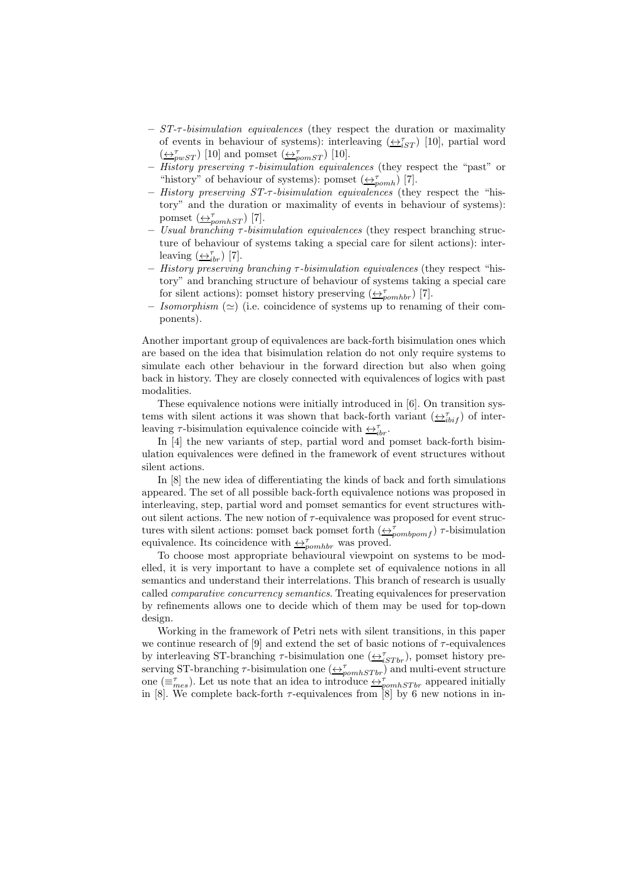- *ST-*τ*-bisimulation equivalences* (they respect the duration or maximality of events in behaviour of systems): interleaving  $(\underbrace{\leftrightarrow}^{\tau}_{iST})$  [10], partial word  $(\underleftarrow{\leftrightarrow_{\textit{pwST}}}$  [10] and pomset  $(\underleftarrow{\leftrightarrow_{\textit{pomsT}}}$  [10].
- *History preserving* τ*-bisimulation equivalences* (they respect the "past" or "history" of behaviour of systems): pomset  $(\underbrace{\leftrightarrow}_{pomh}^{\tau})$  [7].
- *History preserving ST-*τ*-bisimulation equivalences* (they respect the "history" and the duration or maximality of events in behaviour of systems): pomset  $\left(\overline{\leftrightarrow_{pomhST}}\right)$  [7].
- *Usual branching* τ*-bisimulation equivalences* (they respect branching structure of behaviour of systems taking a special care for silent actions): interleaving  $(\underline{\leftrightarrow}_{ibr}^{\tau})$  [7].
- *History preserving branching* τ*-bisimulation equivalences* (they respect "history" and branching structure of behaviour of systems taking a special care for silent actions): pomset history preserving  $(\leftrightarrow_{pcmhbr}^{\tau} )$  [7].
- *Isomorphism*  $(\simeq)$  (i.e. coincidence of systems up to renaming of their components).

Another important group of equivalences are back-forth bisimulation ones which are based on the idea that bisimulation relation do not only require systems to simulate each other behaviour in the forward direction but also when going back in history. They are closely connected with equivalences of logics with past modalities.

These equivalence notions were initially introduced in [6]. On transition systems with silent actions it was shown that back-forth variant  $(\underbrace{\leftrightarrow_{i}}_{i}^{\tau}$  of interleaving  $\tau$ -bisimulation equivalence coincide with  $\leftrightarrow_{ibr}^{\tau}$ .

In [4] the new variants of step, partial word and pomset back-forth bisimulation equivalences were defined in the framework of event structures without silent actions.

In [8] the new idea of differentiating the kinds of back and forth simulations appeared. The set of all possible back-forth equivalence notions was proposed in interleaving, step, partial word and pomset semantics for event structures without silent actions. The new notion of  $\tau$ -equivalence was proposed for event structures with silent actions: pomset back pomset forth  $(\underbrace{\leftrightarrow}_{pombpomf}^{\tau})$   $\tau$ -bisimulation equivalence. Its coincidence with  $\leftrightarrow_{\text{p}}^{\tau}$  was proved.

To choose most appropriate behavioural viewpoint on systems to be modelled, it is very important to have a complete set of equivalence notions in all semantics and understand their interrelations. This branch of research is usually called *comparative concurrency semantics*. Treating equivalences for preservation by refinements allows one to decide which of them may be used for top-down design.

Working in the framework of Petri nets with silent transitions, in this paper we continue research of [9] and extend the set of basic notions of  $\tau$ -equivalences by interleaving ST-branching  $\tau$ -bisimulation one  $(\underbrace{\leftrightarrow}^{\tau}_{iSTbr}),$  pomset history preserving ST-branching  $\tau$ -bisimulation one  $(\underbrace{\leftrightarrow}_{pomhSTbr})$  and multi-event structure one  $(\equiv_{mes}^{\tau})$ . Let us note that an idea to introduce  $\leftrightarrow_{pomhSTbr}^{\tau}$  appeared initially in [8]. We complete back-forth  $\tau$ -equivalences from [8] by 6 new notions in in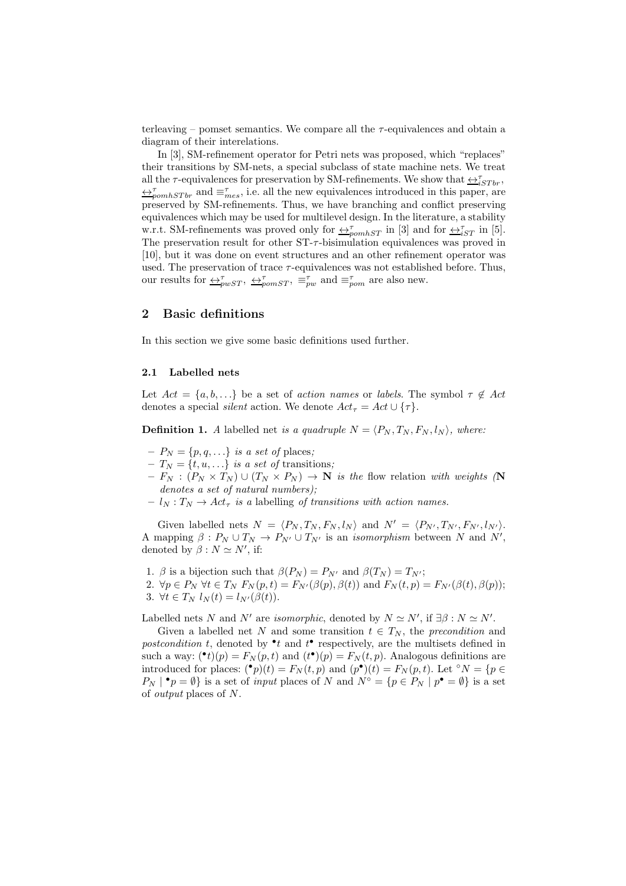terleaving – pomset semantics. We compare all the  $\tau$ -equivalences and obtain a diagram of their interelations.

In [3], SM-refinement operator for Petri nets was proposed, which "replaces" their transitions by SM-nets, a special subclass of state machine nets. We treat all the  $\tau$ -equivalences for preservation by SM-refinements. We show that  $\leftrightarrow^\tau_{iSTbr},$  $\leftrightarrow_{\text{pomhSTbr}}^{\tau}$  and  $\equiv_{mes}^{\tau}$ , i.e. all the new equivalences introduced in this paper, are preserved by SM-refinements. Thus, we have branching and conflict preserving equivalences which may be used for multilevel design. In the literature, a stability w.r.t. SM-refinements was proved only for  $\leftrightarrow_{\text{pounds}T}^{\tau}$  in [3] and for  $\leftrightarrow_{iST}^{\tau}$  in [5]. The preservation result for other  $ST-\tau$ -bisimulation equivalences was proved in [10], but it was done on event structures and an other refinement operator was used. The preservation of trace  $\tau$ -equivalences was not established before. Thus, our results for  $\triangle^{\tau}_{pwST}$ ,  $\triangle^{\tau}_{pomST}$ ,  $\equiv^{\tau}_{pw}$  and  $\equiv^{\tau}_{pom}$  are also new.

# 2 Basic definitions

In this section we give some basic definitions used further.

# 2.1 Labelled nets

Let  $Act = \{a, b, ...\}$  be a set of *action names* or *labels*. The symbol  $\tau \notin Act$ denotes a special *silent* action. We denote  $Act_{\tau} = Act \cup {\tau}.$ 

**Definition 1.** *A* labelled net *is a quadruple*  $N = \langle P_N, T_N, F_N, l_N \rangle$ , where:

- $-P_N = \{p, q, \ldots\}$  *is a set of* places;
- $-T_N = \{t, u, ...\}$  *is a set of* transitions;
- $-F_N : (P_N \times T_N) \cup (T_N \times P_N) \to \mathbb{N}$  *is the flow relation with weights* (N *denotes a set of natural numbers);*
- $l_N : T_N \to Act_\tau$  *is a* labelling *of transitions with action names.*

Given labelled nets  $N = \langle P_N, T_N, F_N, l_N \rangle$  and  $N' = \langle P_{N'}, T_{N'}, F_{N'}, l_{N'} \rangle$ . A mapping  $\beta: P_N \cup T_N \to P_{N'} \cup T_{N'}$  is an *isomorphism* between N and N', denoted by  $\beta : N \simeq N'$ , if:

- 1. β is a bijection such that  $\beta(P_N) = P_{N'}$  and  $\beta(T_N) = T_{N'}$ ;
- 2.  $\forall p \in P_N \ \forall t \in T_N \ F_N(p, t) = F_{N'}(\beta(p), \beta(t))$  and  $F_N(t, p) = F_{N'}(\beta(t), \beta(p));$ 3.  $\forall t \in T_N$   $l_N(t) = l_{N'}(\beta(t)).$

Labelled nets N and N' are *isomorphic*, denoted by  $N \simeq N'$ , if  $\exists \beta : N \simeq N'$ .

Given a labelled net N and some transition  $t \in T_N$ , the *precondition* and postcondition t, denoted by  $\bullet$  t and  $t$ <sup> $\bullet$ </sup> respectively, are the multisets defined in such a way:  $(\bullet t)(p) = F_N(p, t)$  and  $(t^{\bullet})(p) = F_N(t, p)$ . Analogous definitions are introduced for places:  $({}^{\bullet}p)(t) = F_N(t,p)$  and  $(p^{\bullet})(t) = F_N(p,t)$ . Let °N = {p  $\in$  $P_N \mid \bullet_p = \emptyset$  is a set of *input* places of N and  $N^{\circ} = \{p \in P_N \mid p^{\bullet} = \emptyset\}$  is a set of *output* places of N.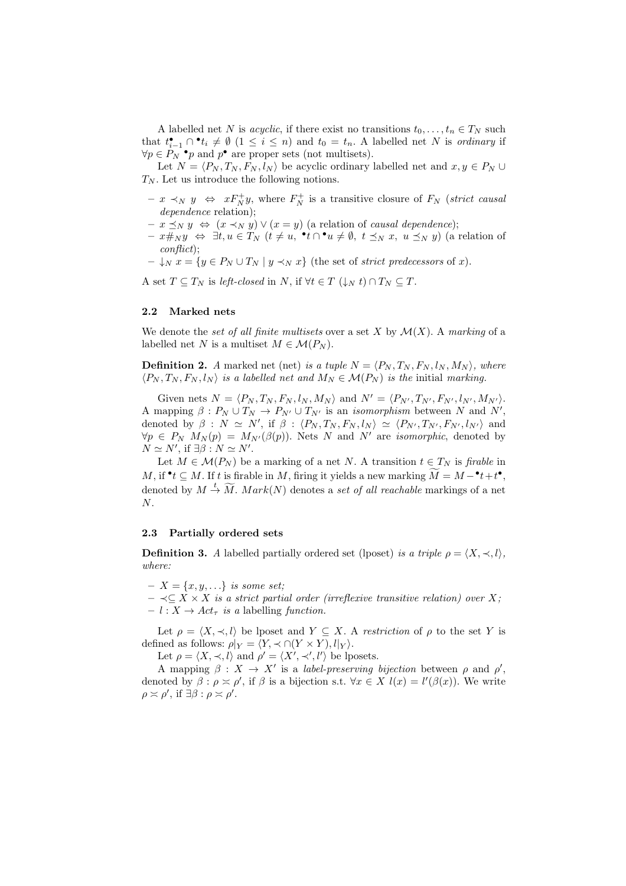A labelled net N is *acyclic*, if there exist no transitions  $t_0, \ldots, t_n \in T_N$  such that  $t_{i-1}^{\bullet} \cap \bullet t_i \neq \emptyset$   $(1 \leq i \leq n)$  and  $t_0 = t_n$ . A labelled net N is *ordinary* if  $\forall p \in P_N$ <sup>•</sup>p and  $p^{\bullet}$  are proper sets (not multisets).

Let  $N = \langle P_N , T_N , F_N , l_N \rangle$  be acyclic ordinary labelled net and  $x, y \in P_N \cup$  $T_N$ . Let us introduce the following notions.

- $x \prec_N y$  ⇔  $xF_N^+y$ , where  $F_N^+$  is a transitive closure of  $F_N$  (*strict causal dependence* relation);
- $x \preceq_N y \Leftrightarrow (x \prec_N y) ∨ (x = y)$  (a relation of *causal dependence*);
- $x \#_N y \Leftrightarrow \exists t, u \in T_N \ (t \neq u, \bullet t \cap \bullet u \neq \emptyset, t \preceq_N x, u \preceq_N y)$  (a relation of *conflict*);
- $-\bigcup_{N} x = \{y \in P_N \cup T_N \mid y \prec_N x\}$  (the set of *strict predecessors* of x).

A set  $T \subseteq T_N$  is *left-closed* in N, if  $\forall t \in T \ (\downarrow_N t) \cap T_N \subseteq T$ .

### 2.2 Marked nets

We denote the *set of all finite multisets* over a set X by  $\mathcal{M}(X)$ . A *marking* of a labelled net N is a multiset  $M \in \mathcal{M}(P_N)$ .

**Definition 2.** *A* marked net (net) *is a tuple*  $N = \langle P_N, T_N, F_N, l_N, M_N \rangle$ , where  $\langle P_N, T_N, F_N, l_N \rangle$  *is a labelled net and*  $M_N \in \mathcal{M}(P_N)$  *is the initial marking.* 

Given nets  $N = \langle P_N , T_N , F_N , l_N , M_N \rangle$  and  $N' = \langle P_{N'} , T_{N'} , F_{N'} , l_{N'} , M_{N'} \rangle$ . A mapping  $\beta: P_N \cup T_N \to P_{N'} \cup T_{N'}$  is an *isomorphism* between N and N', denoted by  $\beta$  :  $N \simeq N'$ , if  $\beta$  :  $\langle P_N, T_N, F_N, l_N \rangle \simeq \langle P_{N'}, T_{N'}, F_{N'}, l_{N'} \rangle$  and  $\forall p \in P_N$   $M_N(p) = M_{N'}(\beta(p))$ . Nets N and N' are *isomorphic*, denoted by  $N \simeq N'$ , if  $\exists \beta : N \simeq N'$ .

Let  $M \in \mathcal{M}(P_N)$  be a marking of a net N. A transition  $t \in T_N$  is *firable* in  $M$ , if  $\bullet t \subseteq M$ . If t is firable in M, firing it yields a new marking  $\widetilde{M} = M - \bullet t + t \bullet$ , denoted by  $M \stackrel{t}{\rightarrow} \widetilde{M}$ .  $Mark(N)$  denotes a *set of all reachable* markings of a net  $N$ .

### 2.3 Partially ordered sets

**Definition 3.** *A* labelled partially ordered set (lposet) *is a triple*  $\rho = \langle X, \prec, l \rangle$ , *where:*

 $- X = \{x, y, ...\}$  *is some set;* 

 $\prec$ ⊆  $\overline{X}$   $\times$   $\overline{X}$  *is a strict partial order (irreflexive transitive relation) over*  $\overline{X}$ ;  $- l : X \rightarrow Act_{\tau}$  *is a* labelling *function*.

Let  $\rho = \langle X, \prec, l \rangle$  be lposet and  $Y \subset X$ . A *restriction* of  $\rho$  to the set Y is defined as follows:  $\rho|_Y = \langle Y, \prec \cap (Y \times Y), l|_Y \rangle$ .

Let  $\rho = \langle X, \prec, l \rangle$  and  $\rho' = \langle X', \prec', l' \rangle$  be lposets.

A mapping  $\beta: X \to X'$  is a *label-preserving bijection* between  $\rho$  and  $\rho'$ , denoted by  $\beta : \rho \asymp \rho'$ , if  $\beta$  is a bijection s.t.  $\forall x \in X$   $l(x) = l'(\beta(x))$ . We write  $\rho \asymp \rho'$ , if  $\exists \beta : \rho \asymp \rho'$ .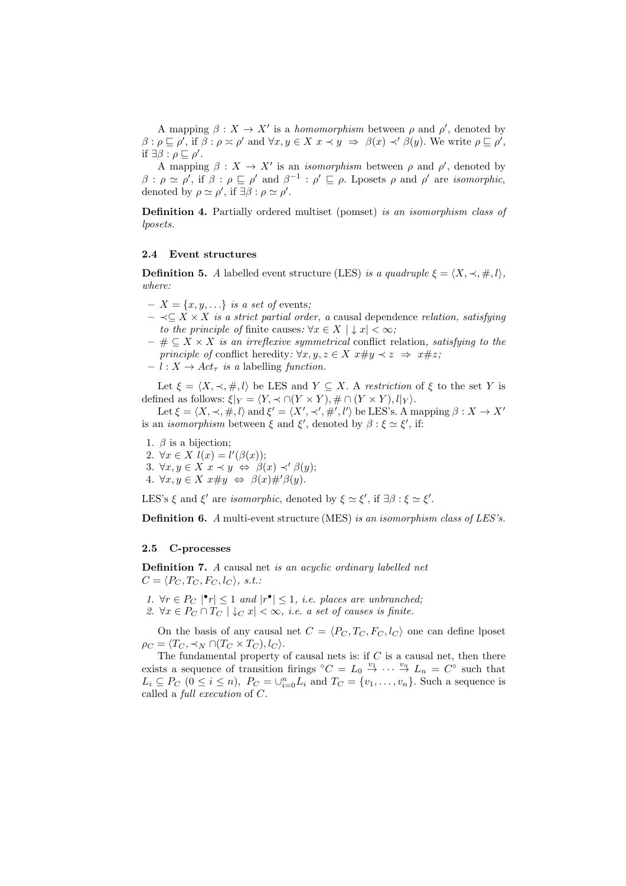A mapping  $\beta: X \to X'$  is a *homomorphism* between  $\rho$  and  $\rho'$ , denoted by  $\beta: \rho \sqsubseteq \rho', \text{ if } \beta: \rho \asymp \rho' \text{ and } \forall x, y \in X \ x \prec y \Rightarrow \beta(x) \prec' \beta(y).$  We write  $\rho \sqsubseteq \rho',$ if  $\exists \beta : \rho \sqsubseteq \rho'$ .

A mapping  $\beta: X \to X'$  is an *isomorphism* between  $\rho$  and  $\rho'$ , denoted by  $\beta$  :  $\rho \simeq \rho'$ , if  $\beta$  :  $\rho \sqsubseteq \rho'$  and  $\beta^{-1}$  :  $\rho' \sqsubseteq \rho$ . Lposets  $\rho$  and  $\rho'$  are *isomorphic*, denoted by  $\rho \simeq \rho'$ , if  $\exists \beta : \rho \simeq \rho'$ .

Definition 4. Partially ordered multiset (pomset) *is an isomorphism class of lposets.*

### 2.4 Event structures

**Definition 5.** *A* labelled event structure (LES) *is a quadruple*  $\xi = \langle X, \prec, \#, l \rangle$ , *where:*

- $-X = \{x, y, \ldots\}$  *is a set of* events;
- ≺⊆ X × X *is a strict partial order, a* causal dependence *relation, satisfying to the principle of finite causes:*  $\forall x \in X \mid x < \infty$ ;
- # ⊆ X × X *is an irreflexive symmetrical* conflict relation*, satisfying to the principle of* conflict heredity:  $\forall x, y, z \in X \; x \# y \prec z \Rightarrow x \# z$ ;
- $l : X \rightarrow Act_{\tau}$  *is a* labelling *function*.

Let  $\xi = \langle X, \prec, \#, l \rangle$  be LES and  $Y \subseteq X$ . A *restriction* of  $\xi$  to the set Y is defined as follows:  $\xi|_Y = \langle Y, \prec \cap (Y \times Y), \# \cap (Y \times Y), l|_Y \rangle.$ 

Let  $\xi = \langle X, \prec, \#, l \rangle$  and  $\xi' = \langle X', \prec', \#', l' \rangle$  be LES's. A mapping  $\beta : X \to X'$ is an *isomorphism* between  $\xi$  and  $\xi'$ , denoted by  $\beta : \xi \simeq \xi'$ , if:

- 1.  $\beta$  is a bijection;
- 2.  $\forall x \in X \; l(x) = l'(\beta(x));$
- 3.  $\forall x, y \in X \ x \prec y \Leftrightarrow \ \beta(x) \prec' \beta(y);$
- 4.  $\forall x, y \in X \ x \# y \Leftrightarrow \beta(x) \#' \beta(y).$

LES's  $\xi$  and  $\xi'$  are *isomorphic*, denoted by  $\xi \simeq \xi'$ , if  $\exists \beta : \xi \simeq \xi'$ .

Definition 6. *A* multi-event structure (MES) *is an isomorphism class of LES's.*

### 2.5 C-processes

Definition 7. *A* causal net *is an acyclic ordinary labelled net*  $C = \langle P_C, T_C, F_C, l_C \rangle, s.t.$ 

- 1.  $\forall r \in P_C \mid \mathbf{r} \leq 1$  *and*  $|r^{\bullet}| \leq 1$ , *i.e. places are unbranched*;
- 2.  $\forall x \in P_C \cap T_C \mid \downarrow_C x \mid \leq \infty$ , *i.e.* a set of causes is finite.

On the basis of any causal net  $C = \langle P_C, T_C, F_C, l_C \rangle$  one can define lposet  $\rho_C = \langle T_C, \prec_N \bigcap (T_C \times T_C), l_C \rangle.$ 

The fundamental property of causal nets is: if  $C$  is a causal net, then there exists a sequence of transition firings  ${}^{\circ}C = L_0 \stackrel{v_1}{\rightarrow} \cdots \stackrel{v_n}{\rightarrow} L_n = C^{\circ}$  such that  $L_i \subseteq P_C$   $(0 \le i \le n)$ ,  $P_C = \bigcup_{i=0}^n L_i$  and  $T_C = \{v_1, \ldots, v_n\}$ . Such a sequence is called a *full execution* of C.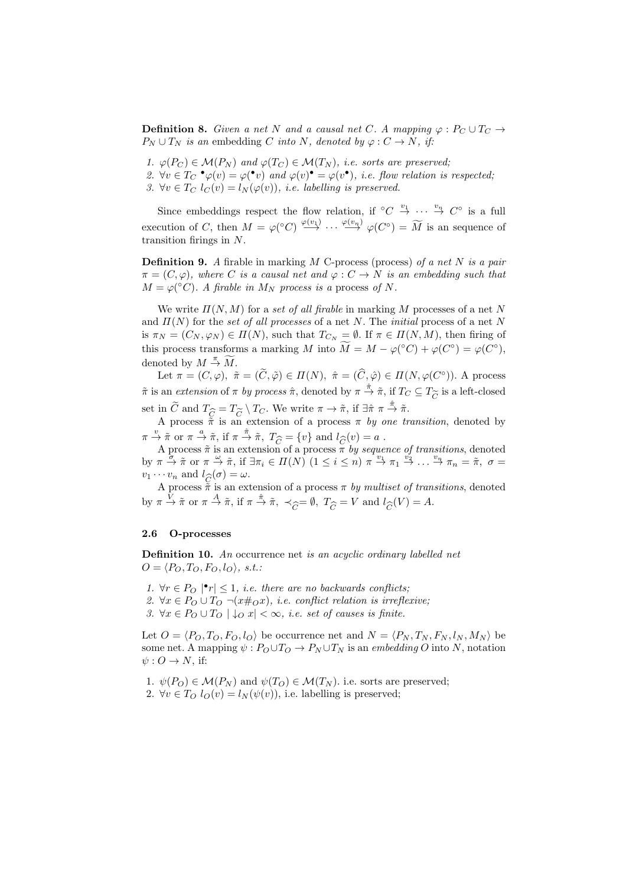**Definition 8.** Given a net N and a causal net C. A mapping  $\varphi$  :  $P_C \cup T_C \rightarrow$  $P_N \cup T_N$  *is an* embedding C *into* N, denoted by  $\varphi : C \to N$ , *if:* 

- *1.*  $\varphi(P_C) \in \mathcal{M}(P_N)$  and  $\varphi(T_C) \in \mathcal{M}(T_N)$ , *i.e. sorts are preserved*;
- 2.  $\forall v \in T_C \cdot \varphi(v) = \varphi(v)$  and  $\varphi(v) \cdot \varphi(v) = \varphi(v \cdot),$  *i.e. flow relation is respected*;
- 3.  $\forall v \in T_C$   $l_C(v) = l_N(\varphi(v))$ , *i.e. labelling is preserved.*

Since embeddings respect the flow relation, if  $\circ C \stackrel{v_1}{\rightarrow} \cdots \stackrel{v_n}{\rightarrow} C^{\circ}$  is a full execution of C, then  $M = \varphi({}^{\circ}C) \stackrel{\varphi(v_1)}{\longrightarrow} \cdots \stackrel{\varphi(v_n)}{\longrightarrow} \varphi(C^{\circ}) = \widetilde{M}$  is an sequence of transition firings in N.

Definition 9. *A* firable in marking M C-process (process) *of a net* N *is a pair*  $\pi = (C, \varphi)$ *, where* C *is a causal net and*  $\varphi : C \to N$  *is an embedding such that*  $M = \varphi({}^{\circ}C)$ *. A firable in*  $M_N$  *process is a* process *of* N.

We write  $\Pi(N, M)$  for a *set of all firable* in marking M processes of a net N and  $\Pi(N)$  for the *set of all processes* of a net N. The *initial* process of a net N is  $\pi_N = (C_N, \varphi_N) \in \Pi(N)$ , such that  $T_{C_N} = \emptyset$ . If  $\pi \in \Pi(N, M)$ , then firing of this process transforms a marking M into  $\widetilde{M} = M - \varphi({}^{\circ}C) + \varphi(C^{\circ}) = \varphi(C^{\circ}),$ denoted by  $M \stackrel{\pi}{\rightarrow} \widetilde{M}$ .

Let  $\pi = (C, \varphi), \tilde{\pi} = (\tilde{C}, \tilde{\varphi}) \in \Pi(N), \tilde{\pi} = (\tilde{C}, \hat{\varphi}) \in \Pi(N, \varphi(C^{\circ})).$  A process  $\tilde{\pi}$  is an *extension* of  $\pi$  *by process*  $\hat{\pi}$ , denoted by  $\pi \stackrel{\hat{\pi}}{\rightarrow} \tilde{\pi}$ , if  $T_C \subseteq T_{\widetilde{C}}$  is a left-closed set in  $\widetilde{C}$  and  $T_{\widetilde{C}} = T_{\widetilde{C}} \setminus T_C$ . We write  $\pi \to \tilde{\pi}$ , if  $\exists \hat{\pi} \pi \stackrel{\hat{\pi}}{\to} \tilde{\pi}$ .<br>A process  $\tilde{\pi}$  is an extension of a process  $\pi$  by one tr

A process  $\tilde{\pi}$  is an extension of a process  $\pi$  *by one transition*, denoted by  $\pi \stackrel{v}{\rightarrow} \tilde{\pi}$  or  $\pi \stackrel{a}{\rightarrow} \tilde{\pi}$ , if  $\pi \stackrel{\hat{\pi}}{\rightarrow} \tilde{\pi}$ ,  $T_{\widehat{C}} = \{v\}$  and  $l_{\widehat{C}}(v) = a$ .<br>A process  $\tilde{\pi}$  is an extension of a process  $\pi$  by seque

A process  $\tilde{\pi}$  is an extension of a process  $\pi$  *by sequence of transitions*, denoted by  $\pi \stackrel{\sigma}{\to} \tilde{\pi}$  or  $\pi \stackrel{\omega}{\to} \tilde{\pi}$ , if  $\exists \pi_i \in \Pi(N)$   $(1 \leq i \leq n)$   $\pi \stackrel{v_1}{\to} \pi_1 \stackrel{v_2}{\to} \ldots \stackrel{v_n}{\to} \pi_n = \tilde{\pi}$ ,  $\sigma =$  $v_1 \cdots v_n$  and  $l_{\widehat{C}}(\sigma) = \omega$ .<br>A process  $\tilde{\pi}$  is an ext

A process  $\tilde{\pi}$  is an extension of a process  $\pi$  *by multiset of transitions*, denoted by  $\pi \stackrel{V}{\rightarrow} \tilde{\pi}$  or  $\pi \stackrel{A}{\rightarrow} \tilde{\pi}$ , if  $\pi \stackrel{\hat{\pi}}{\rightarrow} \tilde{\pi}$ ,  $\prec_{\widehat{C}} = \emptyset$ ,  $T_{\widehat{C}} = V$  and  $l_{\widehat{C}}(V) = A$ .

### 2.6 O-processes

Definition 10. *An* occurrence net *is an acyclic ordinary labelled net*  $O = \langle P_O, T_O, F_O, l_O \rangle, s.t.$ 

- *1.* ∀ $r \in P_O$  | $\mathbf{P}_r$ | ≤ 1*, i.e. there are no backwards conflicts;*
- *2.* ∀ $x \in P_O \cup T_O \neg (x \#_O x)$ *, i.e. conflict relation is irreflexive*;
- *3.* ∀ $x \in P_O \cup T_O$   $\downarrow_O x$   $\lt \infty$ *, i.e. set of causes is finite.*

Let  $O = \langle P_O, T_O, F_O, l_O \rangle$  be occurrence net and  $N = \langle P_N, T_N, F_N, l_N, M_N \rangle$  be some net. A mapping  $\psi : P_O \cup T_O \to P_N \cup T_N$  is an *embedding* O into N, notation  $\psi: O \to N$ , if:

- 1.  $\psi(P_O) \in \mathcal{M}(P_N)$  and  $\psi(T_O) \in \mathcal{M}(T_N)$ . i.e. sorts are preserved;
- 2.  $\forall v \in T_O$   $l_O(v) = l_N(\psi(v))$ , i.e. labelling is preserved;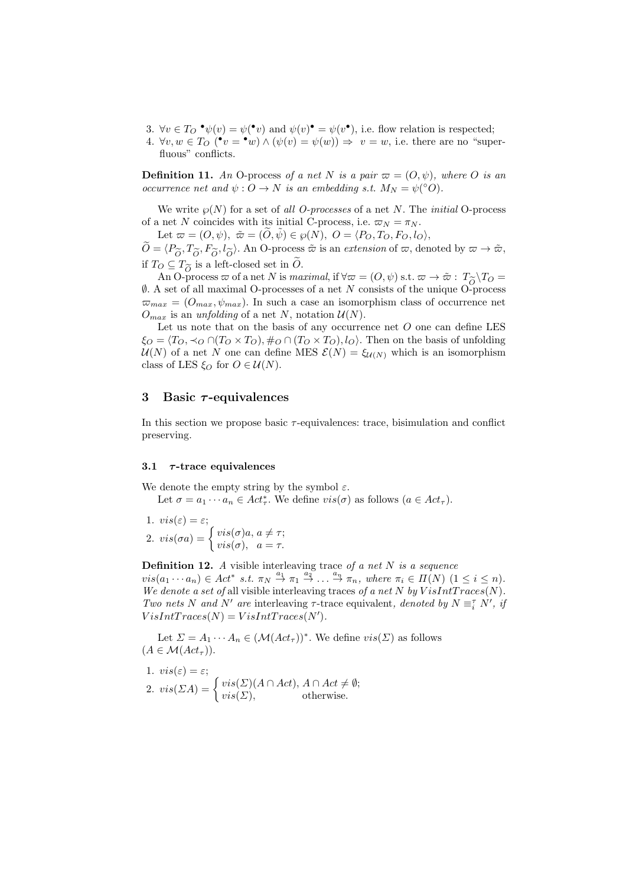- 3.  $\forall v \in T_O \bullet \psi(v) = \psi(\bullet v)$  and  $\psi(v) \bullet \psi(v) = \psi(v \bullet)$ , i.e. flow relation is respected;
- 4.  $\forall v, w \in T_O$   $(\bullet v = \bullet w) \land (\psi(v) = \psi(w)) \Rightarrow v = w$ , i.e. there are no "superfluous" conflicts.

**Definition 11.** An O-process of a net N is a pair  $\varpi = (O, \psi)$ , where O is an *occurrence net and*  $\psi$  :  $\ddot{O} \rightarrow N$  *is an embedding s.t.*  $M_N = \psi({}^{\circ} \ddot{O})$ *.* 

We write  $\wp(N)$  for a set of *all O-processes* of a net N. The *initial* O-process of a net N coincides with its initial C-process, i.e.  $\varpi_N = \pi_N$ .

Let  $\varpi = (O, \psi), \; \tilde{\varpi} = (\tilde{O}, \tilde{\psi}) \in \wp(N), \; O = \langle P_O, T_O, F_O, l_O \rangle,$ 

 $O = \langle P_{\widetilde{O}}, T_{\widetilde{O}}, I_{\widetilde{O}} \rangle$ . An O-process  $\widetilde{\omega}$  is an *extension* of  $\varpi$ , denoted by  $\varpi \to \widetilde{\omega}$ , if  $T_O \subseteq T_{\widetilde{O}}$  is a left-closed set in O.<br>An O-process  $\overline{\omega}$  of a net N is ma

An O-process  $\varpi$  of a net N is *maximal*, if  $\forall \varpi = (O, \psi)$  s.t.  $\varpi \to \tilde{\varpi}$ :  $T_{\tilde{O}} \setminus T_O = \lambda$  set of all maximal O-processes of a net N consists of the unique O-process  $\emptyset$ . A set of all maximal O-processes of a net N consists of the unique O-process  $\varpi_{max} = (O_{max}, \psi_{max})$ . In such a case an isomorphism class of occurrence net  $O_{max}$  is an *unfolding* of a net N, notation  $U(N)$ .

Let us note that on the basis of any occurrence net  $O$  one can define LES  $\xi_O = \langle T_O, \prec_O \cap (T_O \times T_O), \#_O \cap (T_O \times T_O), l_O \rangle$ . Then on the basis of unfolding  $U(N)$  of a net N one can define MES  $\mathcal{E}(N) = \xi_{U(N)}$  which is an isomorphism class of LES  $\xi_O$  for  $O \in \mathcal{U}(N)$ .

## 3 Basic  $\tau$ -equivalences

In this section we propose basic  $\tau$ -equivalences: trace, bisimulation and conflict preserving.

# 3.1  $\tau$ -trace equivalences

We denote the empty string by the symbol  $\varepsilon$ .

Let  $\sigma = a_1 \cdots a_n \in Act^*_\tau$ . We define  $vis(\sigma)$  as follows  $(a \in Act_\tau)$ .

1.  $vis(\varepsilon) = \varepsilon;$ 2.  $vis(\sigma a) = \begin{cases} vis(\sigma)a, a \neq \tau; \\ vis(\sigma) \end{cases}$  $vis(\sigma)$ ,  $a = \tau$ .

Definition 12. *A* visible interleaving trace *of a net* N *is a sequence*  $vis(a_1 \cdots a_n) \in Act^* \; s.t. \; \pi_N \stackrel{a_1}{\rightarrow} \pi_1 \stackrel{a_2}{\rightarrow} \ldots \stackrel{a_n}{\rightarrow} \pi_n$ , where  $\pi_i \in \Pi(N) \; (1 \leq i \leq n)$ . *We denote a set of all visible interleaving traces of a net*  $N$  *by*  $VisIntTrace(N)$ *. Two nets* N *and* N' *are* interleaving  $\tau$ -trace equivalent, *denoted by*  $N \equiv_i^{\tau} N'$ , *if*  $VisIntTraces(N) = VisIntTraces(N').$ 

Let  $\Sigma = A_1 \cdots A_n \in (\mathcal{M}(Act_{\tau}))^*$ . We define  $vis(\Sigma)$  as follows  $(A \in \mathcal{M}(Act_{\tau}))$ .

1. 
$$
vis(\varepsilon) = \varepsilon;
$$
  
2. 
$$
vis(\Sigma A) = \begin{cases} vis(\Sigma)(A \cap Act), A \cap Act \neq \emptyset; \\ vis(\Sigma), \end{cases}
$$
 otherwise.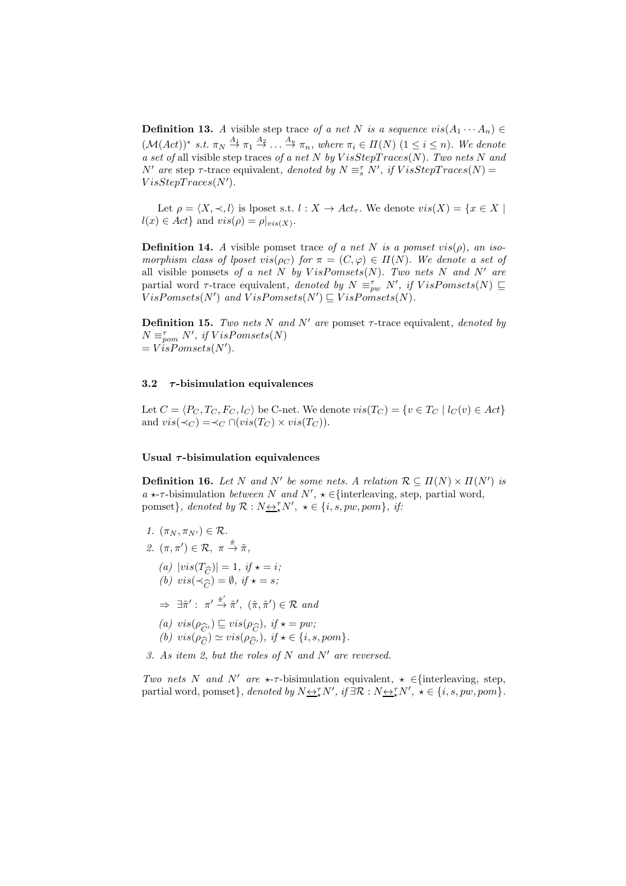**Definition 13.** *A* visible step trace of a net N is a sequence  $vis(A_1 \cdots A_n) \in$  $(\mathcal{M}(Act))^*$  *s.t.*  $\pi_N \stackrel{A_1}{\rightarrow} \pi_1 \stackrel{A_2}{\rightarrow} \ldots \stackrel{A_n}{\rightarrow} \pi_n$ , where  $\pi_i \in \Pi(N)$   $(1 \leq i \leq n)$ . We denote *a set of* all visible step traces *of a net* N *by* V isStepT races(N)*. Two nets* N *and*  $N'$  are step  $\tau$ -trace equivalent, denoted by  $N \equiv_s^{\tau} N'$ , if  $VisStepTrace(N) =$  $VisStepTrace(N').$ 

Let  $\rho = \langle X, \prec, l \rangle$  is lposet s.t.  $l : X \to Act_{\tau}$ . We denote  $vis(X) = \{x \in X \mid$  $l(x) \in Act$ } and  $vis(\rho) = \rho|_{vis(X)}$ .

**Definition 14.** *A* visible pomset trace *of a net* N *is a pomset vis(* $\rho$ *), an isomorphism class of lposet vis*( $\rho_C$ ) *for*  $\pi = (C, \varphi) \in \Pi(N)$ *. We denote a set of* all visible pomsets of a net  $N$  by  $VisPomsets(N)$ . Two nets  $N$  and  $N'$  are partial word  $\tau$ -trace equivalent, *denoted by*  $N = \stackrel{\tau}{p_w} N'$ , *if*  $VisPomsets(N) \sqsubseteq$  $V$ *isPomsets*( $N'$ ) and  $\hat{V}$ *isPomsets*( $N'$ )  $\subseteq \hat{V}$ *isPomsets*( $N$ ).

**Definition 15.** *Two nets* N *and* N' *are* pomset  $\tau$ -trace equivalent, *denoted by*  $N \equiv_{\text{pom}}^{\tau} N'$ , if  $VisPomsets(N)$  $= V \ddot{i} sPomsets(N').$ 

### 3.2  $\tau$ -bisimulation equivalences

Let  $C = \langle P_C, T_C, F_C, l_C \rangle$  be C-net. We denote  $vis(T_C) = \{v \in T_C \mid l_C(v) \in Act\}$ and  $vis(\prec_C) = \prec_C \cap (vis(T_C) \times vis(T_C)).$ 

### Usual  $\tau$ -bisimulation equivalences

**Definition 16.** Let N and N' be some nets. A relation  $\mathcal{R} \subseteq \Pi(N) \times \Pi(N')$  is  $a \star \tau$ -bisimulation *between* N and  $N'$ ,  $\star \in$ {interleaving, step, partial word, pomset}, denoted by  $\mathcal{R}: N \rightarrow \mathcal{R}^N$ ,  $\star \in \{i, s, pw, pom\}$ , if:

- *1.*  $(\pi_N, \pi_{N'}) \in \mathcal{R}$ .
- 2.  $(\pi, \pi') \in \mathcal{R}, \pi \stackrel{\hat{\pi}}{\rightarrow} \tilde{\pi},$ 
	- $(a)$   $|vis(T_{\widehat{C}})| = 1$ , if  $\star = i$ ;<br>
	(b)  $vis(\prec_{\widehat{C}}) = \emptyset$  if  $\star = s$ ;  $(b) \text{ vis}(\prec_{\widehat{C}}) = \emptyset, \text{ if } \star = s;$
	- $\Rightarrow \exists \tilde{\pi}' : \pi' \stackrel{\hat{\pi}'}{\rightarrow} \tilde{\pi}', \ (\tilde{\pi}, \tilde{\pi}') \in \mathcal{R} \text{ and}$
	- *(a)*  $vis(\rho_{\widehat{C}}) \sqsubseteq vis(\rho_{\widehat{C}})$ , if  $\star = pw$ ;<br>*(b)*  $vis(\rho_{\widehat{C}}) \approx vis(\rho_{\widehat{C}})$ , if  $\star \in \{i, s\}$
	- (b)  $vis(\rho_{\widehat{C}}) \simeq vis(\rho_{\widehat{C}})$ , if  $\star \in \{i, s, pom\}$ .

*3. As item 2, but the roles of* N *and* N′ *are reversed.*

*Two nets* N *and* N' *are*  $\star$ - $\tau$ -bisimulation equivalent,  $\star$  ∈{interleaving, step, partial word, pomset}, denoted by  $N \rightarrow \tau N'$ , if  $\exists \mathcal{R} : N \rightarrow \tau N'$ ,  $\star \in \{i, s, pw, pom\}$ .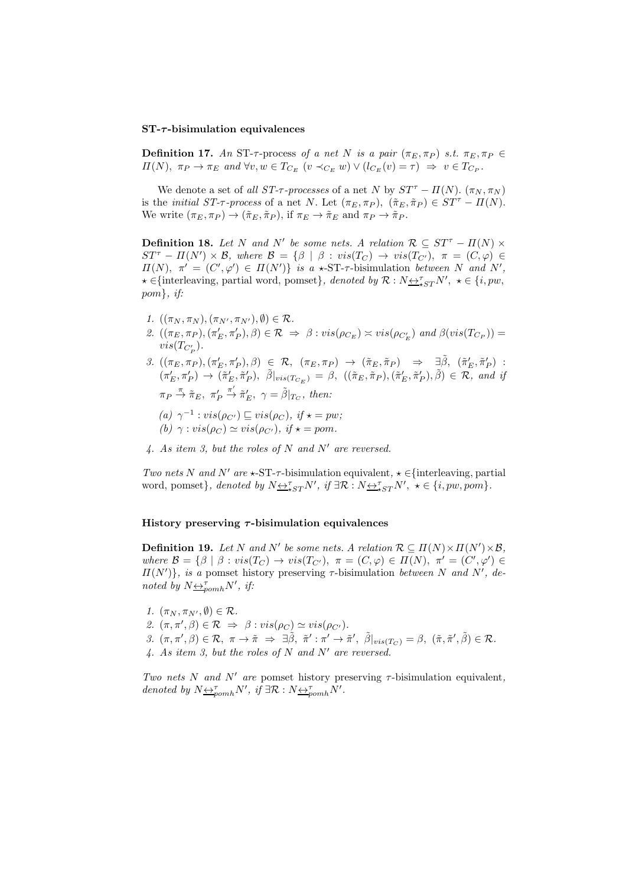#### $ST-\tau$ -bisimulation equivalences

**Definition 17.** An ST- $\tau$ -process of a net N is a pair  $(\pi_E, \pi_P)$  *s.t.*  $\pi_E, \pi_P \in$  $\Pi(N)$ ,  $\pi_P \to \pi_E$  and  $\forall v, w \in T_{C_E}$   $(v \prec_{C_E} w) \vee (l_{C_E}(v) = \tau) \Rightarrow v \in T_{C_P}$ .

We denote a set of *all ST-* $\tau$ -processes of a net N by  $ST^{\tau} - \Pi(N)$ . ( $\pi_N, \pi_N$ ) is the *initial ST-* $\tau$ *-process* of a net N. Let  $(\pi_E, \pi_P)$ ,  $(\tilde{\pi}_E, \tilde{\pi}_P) \in ST^{\tau} - \Pi(N)$ . We write  $(\pi_E, \pi_P) \to (\tilde{\pi}_E, \tilde{\pi}_P)$ , if  $\pi_E \to \tilde{\pi}_E$  and  $\pi_P \to \tilde{\pi}_P$ .

**Definition 18.** Let N and N' be some nets. A relation  $\mathcal{R} \subseteq ST^{\tau} - \Pi(N) \times$  $ST^{\tau} - \Pi(N') \times \mathcal{B}$ , where  $\mathcal{B} = {\beta \mid \beta : vis(T_C) \rightarrow vis(T_{C'})}$ ,  $\pi = (C, \varphi) \in$  $\Pi(N)$ ,  $\pi' = (C', \varphi') \in \Pi(N')$  *is a*  $\star$ -ST- $\tau$ -bisimulation *between* N *and* N',  $\star \in \{\text{interleaving, partial word, pomset}\}\,$ , denoted by  $\mathcal{R}: N \rightarrow_{\star} S_T N'$ ,  $\star \in \{i, pw,$ pom}*, if:*

- *1.*  $((\pi_N, \pi_N), (\pi_{N'}, \pi_{N'}), \emptyset) \in \mathcal{R}$ .
- 2.  $((\pi_E, \pi_P), (\pi'_E, \pi'_P), \beta) \in \mathcal{R} \Rightarrow \beta : vis(\rho_{C_E}) \asymp vis(\rho_{C'_E})$  and  $\beta (vis(T_{C_P})) =$  $vis(T_{C_P^{\prime}})$ .
- $\label{eq:3.1} \begin{array}{rccc} \text{\it 3.}\!\!\!\!\!&((\pi_E,\pi_P),(\pi_E',\pi_P'),\beta)&\in&\mathcal R,\!\!\!\!\!&(\pi_E,\pi_P)&\to&\!(\tilde\pi_E,\tilde\pi_P)&\Rightarrow&\exists \tilde\beta,\!\!\!\!\!&(\tilde\pi_E',\tilde\pi_P')\;:\\ \end{array}$  $(\pi'_E, \pi'_P) \rightarrow (\tilde{\pi}'_E, \tilde{\pi}'_P), \ \tilde{\beta}|_{vis(T_{C_E})} = \beta, \ ((\tilde{\pi}_E, \tilde{\pi}_P), (\tilde{\pi}'_E, \tilde{\pi}'_P), \tilde{\beta}) \in \mathcal{R}, \ and \ if$  $\pi_P \stackrel{\pi}{\rightarrow} \tilde{\pi}_E, \pi'_P$  $\stackrel{\pi'}{\rightarrow} \tilde{\pi}'_E$ ,  $\gamma = \tilde{\beta}|_{T_C}$ , then:
	- $(a)$   $\gamma^{-1}$ :  $vis(\rho_{C'}) \sqsubseteq vis(\rho_C)$ *, if*  $\star = pw$ *; (b)*  $\gamma : vis(\rho_C) \simeq vis(\rho_{C'}), \text{ if } \star = pom.$
- *4. As item 3, but the roles of* N *and* N′ *are reversed.*

*Two nets* N *and* N'  $are \star$ -ST- $\tau$ -bisimulation equivalent,  $\star \in$ {interleaving, partial word, pomset}, denoted by  $N \underbrace{\leftrightarrow}^{\tau}_{\star ST} N'$ , if  $\exists \mathcal{R} : N \underbrace{\leftrightarrow}^{\tau}_{\star ST} N'$ ,  $\star \in \{i, pw, pom\}$ .

## History preserving  $\tau$ -bisimulation equivalences

**Definition 19.** Let N and N' be some nets. A relation  $\mathcal{R} \subseteq \Pi(N) \times \Pi(N') \times \mathcal{B}$ , *where*  $\mathcal{B} = \{\beta \mid \beta : vis(T_C) \rightarrow vis(T_{C'}), \pi = (C, \varphi) \in \Pi(N), \pi' = (C', \varphi') \in \Pi(N) \}$  $\Pi(N')$ , is a pomset history preserving  $\tau$ -bisimulation *between* N and N', de*noted by*  $N \leftrightarrow \bar{f}_{pomh} N'$ , *if:* 

*1.*  $(\pi_N, \pi_{N'}, \emptyset) \in \mathcal{R}$ . *2.*  $(\pi, \pi', \beta) \in \mathcal{R} \Rightarrow \beta : vis(\rho_C) \simeq vis(\rho_{C'})$ *.*  $\beta$ .  $(\pi, \pi', \beta) \in \mathcal{R}, \ \pi \to \tilde{\pi} \Rightarrow \exists \tilde{\beta}, \ \tilde{\pi}' : \pi' \to \tilde{\pi}', \ \tilde{\beta}|_{vis(T_{C})} = \beta, \ (\tilde{\pi}, \tilde{\pi}', \tilde{\beta}) \in \mathcal{R}.$ *4. As item 3, but the roles of* N *and* N′ *are reversed.*

*Two nets* N *and* N′ *are* pomset history preserving τ-bisimulation equivalent*, denoted by*  $N \underline{\leftrightarrow}_{pomh}^{\tau} N'$ *, if*  $\exists \mathcal{R} : N \underline{\leftrightarrow}_{pomh}^{\tau} N'$ *.*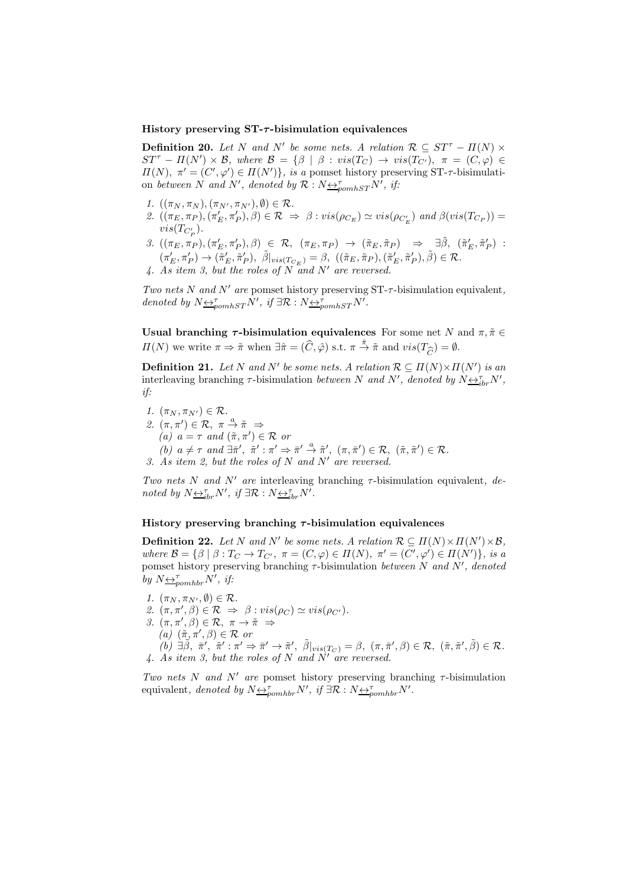### History preserving  $ST-\tau$ -bisimulation equivalences

**Definition 20.** Let N and N' be some nets. A relation  $\mathcal{R} \subseteq ST^{\tau} - \Pi(N) \times$  $ST^{\tau} - \Pi(N') \times \mathcal{B}$ , where  $\mathcal{B} = {\beta \mid \beta : vis(T_C) \rightarrow vis(T_{C'})}$ ,  $\pi = (C, \varphi) \in$  $\Pi(N)$ ,  $\pi' = (C', \varphi') \in \Pi(N')\}$ , is a pomset history preserving ST- $\tau$ -bisimulation *between* N and N', denoted by  $\mathcal{R}: N \rightarrow_{\text{pomhST}} N'$ , if:

- *1.*  $((\pi_N, \pi_N), (\pi_{N'}, \pi_{N'}), \emptyset) \in \mathcal{R}$ .
- 2.  $((\pi_E, \pi_P), (\pi'_E, \pi'_P), \beta) \in \mathcal{R} \Rightarrow \beta : vis(\rho_{C_E}) \simeq vis(\rho_{C'_E})$  and  $\beta (vis(T_{C_P})) =$  $vis(T_{C_P^{\prime}})$ .
- $\label{eq:3.1} \begin{array}{rccc} \text{\it 3.}\!\!\!\!\!\!&((\pi_E, \pi_P), (\pi_E', \pi_P'), \beta) & \in & \mathcal{R}, & (\pi_E, \pi_P) & \rightarrow & (\tilde{\pi}_E, \tilde{\pi}_P) & \Rightarrow & \exists \tilde{\beta}, & (\tilde{\pi}_E', \tilde{\pi}_P')\end{array} :$  $(\pi'_E, \pi'_P) \to (\tilde{\pi}'_E, \tilde{\pi}'_P), \ \tilde{\beta}|_{vis(T_{C_E})} = \beta, \ ((\tilde{\pi}_E, \tilde{\pi}_P), (\tilde{\pi}'_E, \tilde{\pi}'_P), \tilde{\beta}) \in \mathcal{R}.$
- *4. As item 3, but the roles of* N *and* N′ *are reversed.*

*Two nets* N *and* N′ *are* pomset history preserving ST-τ-bisimulation equivalent*, denoted by*  $N \underline{\leftrightarrow}_{pomhST}^{\tau} N'$ , *if*  $\exists \mathcal{R} : N \underline{\leftrightarrow}_{pomhST}^{\tau} N'$ .

Usual branching  $\tau$ -bisimulation equivalences For some net N and  $\pi, \tilde{\pi} \in$  $\Pi(N)$  we write  $\pi \Rightarrow \tilde{\pi}$  when  $\exists \hat{\pi} = (\hat{C}, \hat{\varphi})$  s.t.  $\pi \stackrel{\hat{\pi}}{\to} \tilde{\pi}$  and  $vis(T_{\widehat{C}}) = \emptyset$ .

**Definition 21.** Let N and N' be some nets. A relation  $\mathcal{R} \subseteq \Pi(N) \times \Pi(N')$  is an interleaving branching  $\tau$ -bisimulation *between* N and N', denoted by  $N \underline{\leftrightarrow}_{ibr}^{\tau} N'$ , *if:*

*1.*  $(\pi_N, \pi_{N'}) \in \mathcal{R}$ . 2.  $(\pi, \pi') \in \mathcal{R}, \pi \stackrel{a}{\rightarrow} \tilde{\pi} \Rightarrow$  $\hat{a}(a)$   $a = \tau$  *and*  $(\tilde{\pi}, \pi') \in \mathcal{R}$  *or*  $\overline{f}(b)$   $a \neq \tau$  *and*  $\exists \overline{\pi}', \ \overline{\pi}' : \pi' \Rightarrow \overline{\pi}' \stackrel{a}{\rightarrow} \overline{\pi}', \ (\pi, \overline{\pi}') \in \mathcal{R}, \ (\overline{\pi}, \overline{\pi}') \in \mathcal{R}.$ *3. As item 2, but the roles of* N *and* N′ *are reversed.*

*Two nets* N *and* N′ *are* interleaving branching τ-bisimulation equivalent*, denoted by*  $N \underline{\leftrightarrow}_{ibr}^{\tau} N'$ , *if*  $\exists \mathcal{R} : N \underline{\leftrightarrow}_{ibr}^{\tau} N'$ .

### History preserving branching  $\tau$ -bisimulation equivalences

**Definition 22.** Let N and N' be some nets. A relation  $\mathcal{R} \subseteq \Pi(N) \times \Pi(N') \times \mathcal{B}$ , *where*  $\mathcal{B} = \{\beta \mid \beta : T_C \to T_{C'} , \ \pi = (C, \varphi) \in \Pi(N) , \ \pi' = (C', \varphi') \in \Pi(N') \},$  is a pomset history preserving branching τ-bisimulation *between* N *and* N′ *, denoted by*  $N \leftrightarrow \tau_{pomhbr} N'$ , *if:* 

- *1.*  $(\pi_N, \pi_{N'}, \emptyset) \in \mathcal{R}$ .
- 2.  $(\pi, \pi', \beta) \in \mathcal{R} \Rightarrow \beta : vis(\rho_C) \simeq vis(\rho_{C'})$ .
- *3.*  $(\pi, \pi', \beta) \in \mathcal{R}, \pi \to \tilde{\pi} \Rightarrow$
- $\vec{a}$  $(\vec{\pi}, \vec{\pi}', \beta) \in \mathcal{R}$  or

 $\tilde{f}(b)$   $\exists \tilde{\beta}, \; \tilde{\pi}', \; \tilde{\pi}' : \pi' \Rightarrow \tilde{\pi}' \rightarrow \tilde{\pi}', \; \tilde{\beta}|_{vis(T_C)} = \beta, \; (\pi, \bar{\pi}', \beta) \in \mathcal{R}, \; (\tilde{\pi}, \tilde{\pi}', \tilde{\beta}) \in \mathcal{R}.$ *4. As item 3, but the roles of* N *and* N′ *are reversed.*

*Two nets* N *and* N' *are* pomset history preserving branching  $\tau$ -bisimulation equivalent, denoted by  $N \underline{\leftrightarrow}_{pomhbr}^{\tau} N'$ , if  $\exists \mathcal{R}: N \underline{\leftrightarrow}_{pomhbr}^{\tau} N'$ .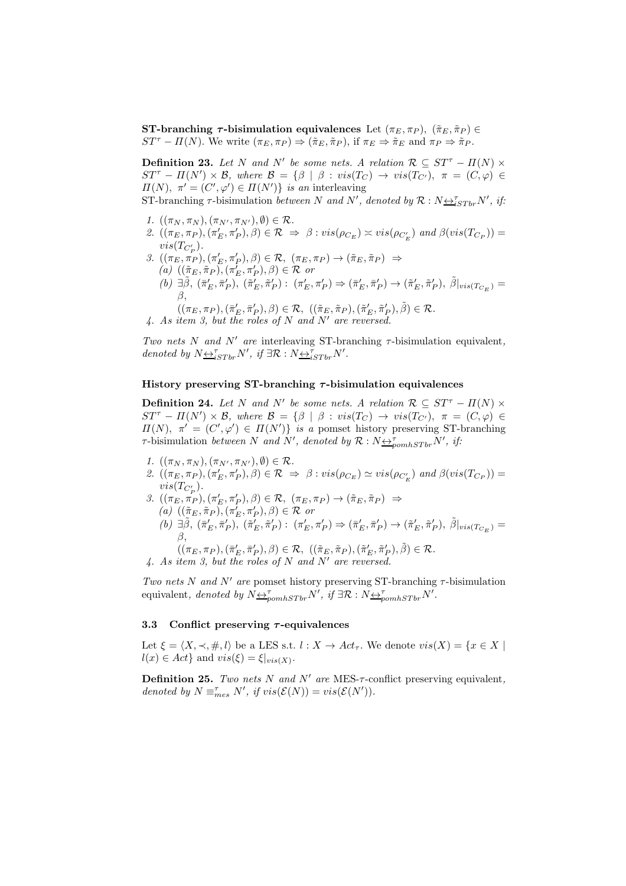ST-branching  $\tau$ -bisimulation equivalences Let  $(\pi_E, \pi_P)$ ,  $(\tilde{\pi}_E, \tilde{\pi}_P) \in$  $ST^{\tau} - \Pi(N)$ . We write  $(\pi_E, \pi_P) \Rightarrow (\tilde{\pi}_E, \tilde{\pi}_P)$ , if  $\pi_E \Rightarrow \tilde{\pi}_E$  and  $\pi_P \Rightarrow \tilde{\pi}_P$ .

**Definition 23.** Let N and N' be some nets. A relation  $\mathcal{R} \subseteq ST^{\tau} - \Pi(N) \times$  $ST^{\tau} - \Pi(N') \times \mathcal{B}$ , where  $\mathcal{B} = {\beta \mid \beta : vis(T_C) \rightarrow vis(T_{C'})}$ ,  $\pi = (C, \varphi) \in$  $\Pi(N)$ ,  $\pi' = (C', \varphi') \in \Pi(N')\}$  *is an* interleaving

 $ST\text{-}branching \tau\text{-}bisimulation \ between \ N \ and \ N', denoted \ by \ \mathcal{R}: N \rightarrow_{iSTbr} N', \ if:$ 

- *1.*  $((\pi_N, \pi_N), (\pi_{N'}, \pi_{N'}), \emptyset) \in \mathcal{R}$ .
- 2.  $((\pi_E, \pi_P), (\pi'_E, \pi'_P), \beta) \in \mathcal{R} \Rightarrow \beta : vis(\rho_{C_E}) \approx vis(\rho_{C'_E})$  and  $\beta(vis(T_{C_P})) =$  $vis(T_{C_P^{\prime}})$ .
- 3.  $((\pi_E, \pi_P), (\pi'_E, \pi'_P), \beta) \in \mathcal{R}, (\pi_E, \pi_P) \rightarrow (\tilde{\pi}_E, \tilde{\pi}_P) \Rightarrow$  $(a)$   $((\tilde{\pi}_E, \tilde{\pi}_P), (\pi'_E, \pi'_P), \beta) \in \mathcal{R}$  *or* 
	- $(b) \exists \tilde{\beta}, (\bar{\pi}'_E, \bar{\pi}'_P), (\tilde{\pi}'_E, \tilde{\pi}'_P): (\pi'_E, \pi'_P) \Rightarrow (\bar{\pi}'_E, \bar{\pi}'_P) \rightarrow (\tilde{\pi}'_E, \tilde{\pi}'_P), \tilde{\beta}|_{vis(T_{C_E})} =$ β,
		- $((\pi_E, \pi_P),(\bar{\pi}'_E, \bar{\pi}'_P), \beta) \in \mathcal{R}, ((\tilde{\pi}_E, \tilde{\pi}_P),(\tilde{\pi}'_E, \tilde{\pi}'_P), \tilde{\beta}) \in \mathcal{R}.$
- *4. As item 3, but the roles of* N *and* N′ *are reversed.*

*Two nets* N *and* N′ *are* interleaving ST-branching τ-bisimulation equivalent*, denoted by*  $N \underline{\leftrightarrow}_{iSTbr}^{\tau} N'$ , *if*  $\exists \mathcal{R} : N \underline{\leftrightarrow}_{iSTbr}^{\tau} N'$ .

### History preserving ST-branching  $\tau$ -bisimulation equivalences

**Definition 24.** Let N and N' be some nets. A relation  $\mathcal{R} \subseteq ST^{\tau} - \Pi(N) \times$  $ST^{\tau}$  –  $\Pi(N') \times \mathcal{B}$ , where  $\mathcal{B} = {\beta \mid \beta : vis(T_C) \rightarrow vis(T_{C'})}$ ,  $\pi = (C, \varphi) \in$  $\Pi(N)$ ,  $\pi' = (C', \varphi') \in \Pi(N')$  *is a* pomset history preserving ST-branching  $\tau$ -bisimulation *between* N and N', denoted by  $\mathcal{R}: N_{\frac{\leftrightarrow}{2}p o m h S T b r} N'$ , if:

- *1.*  $((\pi_N, \pi_N), (\pi_{N'}, \pi_{N'}), \emptyset) \in \mathcal{R}$ .
- 2.  $((\pi_E, \pi_P), (\pi'_E, \pi'_P), \hat{\beta}) \in \mathcal{R} \Rightarrow \beta : vis(\rho_{C_E}) \simeq vis(\rho_{C'_E})$  and  $\beta (vis(T_{C_P})) =$  $vis(T_{C_P^{\prime}})$ .
- 3.  $((\pi_E, \pi_P), (\pi'_E, \pi'_P), \beta) \in \mathcal{R}, (\pi_E, \pi_P) \to (\tilde{\pi}_E, \tilde{\pi}_P) \Rightarrow$  $(a)$   $((\tilde{\pi}_E, \tilde{\pi}_P), (\pi'_E, \pi'_P), \beta) \in \mathcal{R}$  *or*  $(b)$   $\exists \tilde{\beta}, \, (\bar{\pi}'_E, \bar{\pi}'_P), \, (\tilde{\pi}'_E, \tilde{\pi}'_P) : \, (\pi'_E, \pi'_P) \Rightarrow (\bar{\pi}'_E, \bar{\pi}'_P) \rightarrow (\tilde{\pi}'_E, \tilde{\pi}'_P), \, \tilde{\beta}|_{vis(T_{C_E})} =$ β,
- $((\pi_E, \pi_P),(\bar{\pi}'_E, \bar{\pi}'_P), \beta) \in \mathcal{R}, ((\tilde{\pi}_E, \tilde{\pi}_P),(\tilde{\pi}'_E, \tilde{\pi}'_P), \tilde{\beta}) \in \mathcal{R}.$ *4. As item 3, but the roles of* N *and* N′ *are reversed.*

*Two nets* N *and*  $N'$  *are* pomset history preserving ST-branching  $\tau$ -bisimulation equivalent, denoted by  $N_{\underbrace{\leftrightarrow_{\text{p}}^{\tau}}_{\text{p}} \sum_{\text{p}} N'}$ , if  $\exists \mathcal{R}: N_{\underbrace{\leftrightarrow_{\text{p}}^{\tau}}_{\text{p}} \sum_{\text{p}} N'}$ .

## 3.3 Conflict preserving  $\tau$ -equivalences

Let  $\xi = \langle X, \prec, \#, l \rangle$  be a LES s.t.  $l : X \to Act_\tau$ . We denote  $vis(X) = \{x \in X \mid$  $l(x) \in Act$  and  $vis(\xi) = \xi|_{vis(X)}$ .

Definition 25. *Two nets* N *and* N′ *are* MES-τ-conflict preserving equivalent*, denoted by*  $N \equiv_{mes}^{\tau} N'$ , *if*  $vis(\mathcal{E}(N)) = vis(\mathcal{E}(N'))$ .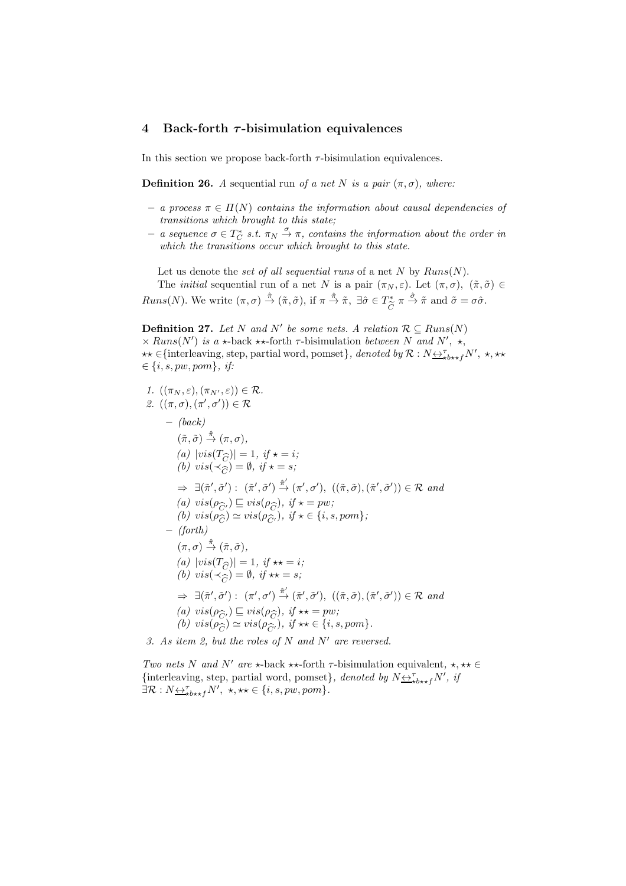# 4 Back-forth  $\tau$ -bisimulation equivalences

In this section we propose back-forth  $\tau$ -bisimulation equivalences.

**Definition 26.** *A* sequential run *of a net* N *is a pair*  $(\pi, \sigma)$ *, where:* 

- *a process* π ∈ Π(N) *contains the information about causal dependencies of transitions which brought to this state;*
- $-$  *a sequence*  $\sigma \in T_C^*$  *s.t.*  $\pi_N \stackrel{\sigma}{\rightarrow} \pi$ *, contains the information about the order in which the transitions occur which brought to this state.*

Let us denote the *set of all sequential runs* of a net N by  $Runs(N)$ .

The *initial* sequential run of a net N is a pair  $(\pi_N, \varepsilon)$ . Let  $(\pi, \sigma)$ ,  $(\tilde{\pi}, \tilde{\sigma}) \in$  $Runs(N)$ . We write  $(\pi, \sigma) \stackrel{\hat{\pi}}{\rightarrow} (\tilde{\pi}, \tilde{\sigma})$ , if  $\pi \stackrel{\hat{\pi}}{\rightarrow} \tilde{\pi}$ ,  $\exists \hat{\sigma} \in T^*_{\approx}$  $\sum_{\widetilde{C}}^{\infty} \pi \stackrel{\hat{\sigma}}{\rightarrow} \widetilde{\pi}$  and  $\widetilde{\sigma} = \sigma \hat{\sigma}$ .

**Definition 27.** Let N and N' be some nets. A relation  $\mathcal{R} \subseteq \text{Runs}(N)$  $\times$  Runs(N') is a  $\star$ -back  $\star\star$ -forth  $\tau$ -bisimulation *between* N and N',  $\star$ ,  $\star\star \in {\text{interleaving, step, partial word, pomset}}$ *, denoted by*  $\mathcal{R}: N \leftrightarrow \tau_{\star b \star \star f}^{\tau} N'$ ,  $\star, \star\star$  $\in \{i, s, pw, pom\}, \text{ if:}$ 

*1.*  $((\pi_N, \varepsilon), (\pi_{N'}, \varepsilon)) \in \mathcal{R}$ . 2.  $((\pi,\sigma),(\pi',\sigma')) \in \mathcal{R}$ – *(back)*  $(\tilde{\pi}, \tilde{\sigma}) \stackrel{\hat{\pi}}{\rightarrow} (\pi, \sigma),$ *(a)*  $|vis(T_{\widehat{C}})| = 1$ *, if*  $\star = i$ *;*<br>*(b)*  $vis(\prec \sim) = \emptyset$ , if  $\star = s$ *: (b)*  $vis(\prec_{\widehat{C}}) = \emptyset$ , if  $\star = s$ ;  $\Rightarrow \exists (\tilde{\pi}', \tilde{\sigma}') : (\tilde{\pi}', \tilde{\sigma}') \stackrel{\hat{\pi}'}{\rightarrow} (\pi', \sigma'), ((\tilde{\pi}, \tilde{\sigma}), (\tilde{\pi}', \tilde{\sigma}')) \in \mathcal{R} \text{ and}$ (a)  $vis(\rho_{\widehat{C}}) \sqsubseteq vis(\rho_{\widehat{C}})$ , if  $\star = pw$ ;<br>(b)  $vis(\rho_{\widehat{C}}) \sim vis(\rho_{\widehat{C}})$ , if  $\star \in \{i, s\}$  $(b) \text{ } vis(\hat{\rho}_{\hat{C}}) \simeq vis(\hat{\rho}_{\hat{C}}), \text{ if } \star \in \{i, s, pom\};$ <br>(forth) – *(forth)*  $(\pi,\sigma) \stackrel{\hat{\pi}}{\rightarrow} (\tilde{\pi},\tilde{\sigma}),$ *(a)*  $|vis(T_{\widehat{C}})| = 1$ *, if*  $\star\star = i$ *;*<br>*(b)*  $vis(\prec\sim) = \emptyset$  if  $\star\star = s$ *: (b)*  $vis(\prec_{\widehat{C}}) = \emptyset$ , if  $\star \star = s$ ;  $\Rightarrow \exists (\tilde{\pi}', \tilde{\sigma}') : (\pi', \sigma') \xrightarrow{\hat{\pi}'} (\tilde{\pi}', \tilde{\sigma}'), ((\tilde{\pi}, \tilde{\sigma}), (\tilde{\pi}', \tilde{\sigma}')) \in \mathcal{R} \text{ and}$ *(a)*  $vis(\rho_{\widehat{C}'}) \sqsubseteq vis(\rho_{\widehat{C}})$ , if  $\star\star = pw$ ;<br>*(b)*  $vis(\rho_{\widehat{C}}) \sim vis(\rho_{\widehat{C}})$  if  $\star\star \in \{i, s\}$ *(b)*  $vis(\rho_{\widehat{C}}) \simeq vis(\rho_{\widehat{C}})$ , if  $\star \star \in \{i, s, pom\}$ . *3. As item 2, but the roles of* N *and* N′ *are reversed.*

*Two nets* N *and* N' *are*  $\star$ -back  $\star \star$ -forth  $\tau$ -bisimulation equivalent,  $\star$ ,  $\star \star \in$ {interleaving, step, partial word, pomset}, denoted by  $N \underline{\leftrightarrow}^{\tau}_{\star b \star \star f} N'$ , if  $\exists \mathcal{R}: N \underbrace{\leftrightarrow \updownarrow}_{\text{box},f} N', \star, \star \star \in \{i, s, pw, pom\}.$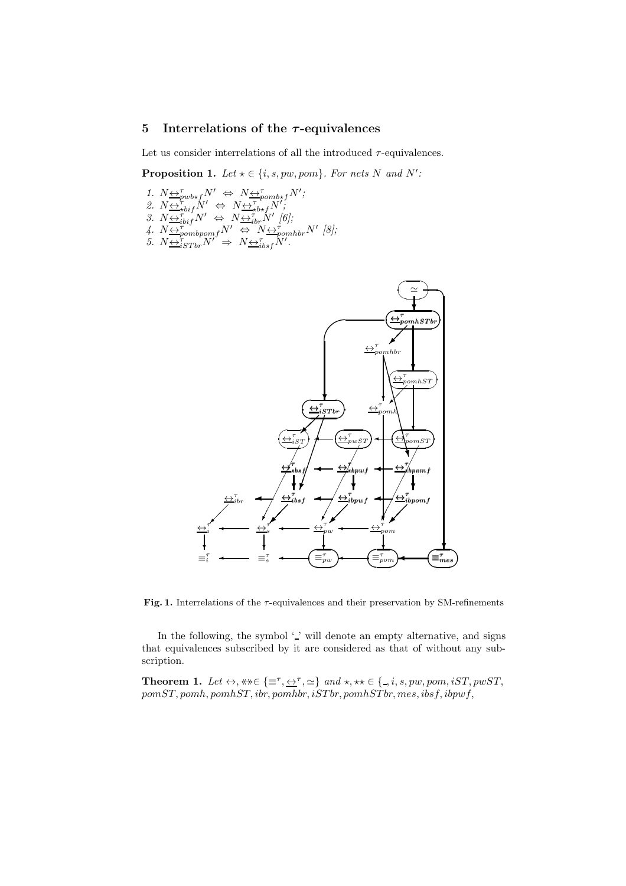# 5 Interrelations of the  $\tau$ -equivalences

Let us consider interrelations of all the introduced  $\tau$ -equivalences.

**Proposition 1.** Let  $\star \in \{i, s, pw, pom\}$ . For nets N and N':

- 1.  $N \underbrace{\leftrightarrow}^{\tau}_{\text{pub} \star \text{f}} N' \Leftrightarrow N \underbrace{\leftrightarrow}^{\tau}_{\text{pomb} \star \text{f}} N'$ ; 2.  $N \underbrace{\leftrightarrow \tau}_{\text{+} \text{+} \text{+}} N' \Leftrightarrow N \underbrace{\leftrightarrow \tau}_{\text{+} \text{+}} N'$
- 3.  $N \underbrace{\leftrightarrow}^{\tau}_{i\text{bif}} N' \Leftrightarrow N \underbrace{\leftrightarrow}^{\tau}_{i\text{bif}} N'$  [6];
- 4.  $N \underbrace{\leftrightarrow}_{pombpomf}^{N'} \underbrace{\leftrightarrow}_{N}^{N} \underbrace{\leftrightarrow}_{pomhbr}^{T'} N'$  [8];
- $\overline{S}$ *.*  $N \overline{\leftrightarrow_{iSThr}^{bombpom}} N' \Rightarrow N \overline{\leftrightarrow_{ibsf}^{t}} N'$ .



Fig. 1. Interrelations of the  $\tau$ -equivalences and their preservation by SM-refinements

In the following, the symbol  $\lq$  '  $\lq$  ' will denote an empty alternative, and signs that equivalences subscribed by it are considered as that of without any subscription.

**Theorem 1.** Let  $\leftrightarrow$ ,  $\ast\ast \in \{\equiv^{\tau}, \underline{\leftrightarrow}^{\tau}, \simeq\}$  and  $\star$ ,  $\star\star \in \{\_, i, s, pw, pom, iST, pwST,$  $pomST, pomh, pomhST, ibr, pomhbr, iSTbr, pomhSTbr, mes, ibsf, ibpwf,$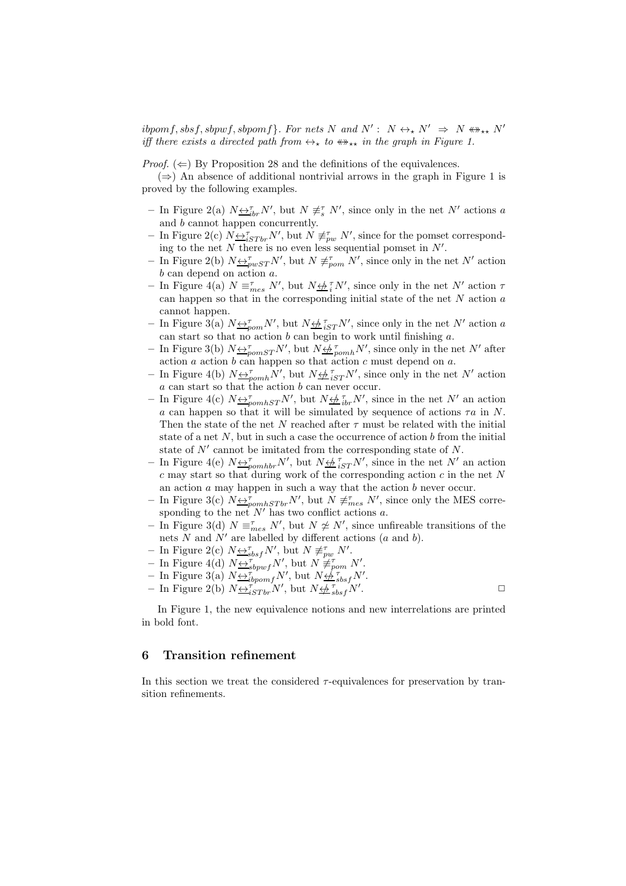$ibpomf, sbsf, sbpwf, sbpomf\}$ . For nets N and  $N' : N \leftrightarrow_{\star} N' \Rightarrow N \leftrightarrow_{\star \star} N'$ *iff there exists a directed path from*  $\leftrightarrow_{\star}$  *to*  $\leftrightarrow_{\star\star}$  *in the graph in Figure 1.* 

*Proof.*  $(\Leftarrow)$  By Proposition 28 and the definitions of the equivalences.

 $(\Rightarrow)$  An absence of additional nontrivial arrows in the graph in Figure 1 is proved by the following examples.

- In Figure 2(a)  $N \underline{\leftrightarrow}^{\tau}_{ibr} N'$ , but  $N \not\equiv^{\tau}_{s} N'$ , since only in the net N' actions a and b cannot happen concurrently.
- In Figure 2(c)  $N \leftrightarrow_{iSTbr}^{\tau} N'$ , but  $N \neq_{pw}^{\tau} N'$ , since for the pomset corresponding to the net N there is no even less sequential pomset in  $N'$ .
- In Figure 2(b)  $N \underline{\leftrightarrow}^{\tau}_{pwST} N'$ , but  $N \not\equiv^{\tau}_{pom} N'$ , since only in the net  $N'$  action b can depend on action a.
- In Figure 4(a)  $N \equiv_{mes}^{\tau} N'$ , but  $N \not\leftrightarrow_i^{\tau} N'$ , since only in the net N' action  $\tau$ can happen so that in the corresponding initial state of the net  $N$  action  $a$ cannot happen.
- In Figure 3(a)  $N \leftrightarrow_{\text{pom}}^{\tau} N'$ , but  $N \leftrightarrow_{i \leq T}^{\tau} N'$ , since only in the net N' action a can start so that no action  $b$  can begin to work until finishing  $a$ .
- In Figure 3(b)  $N \Leftrightarrow_{\text{pomST}}^{\tau} N'$ , but  $N \Leftrightarrow_{\text{pomh}}^{\tau} N'$ , since only in the net N' after action  $a$  action  $b$  can happen so that action  $c$  must depend on  $a$ .
- In Figure 4(b)  $N \leftrightarrow_{pcmh}^{7} N'$ , but  $N \leftrightarrow_{iST}^{7} N'$ , since only in the net N' action a can start so that the action b can never occur.
- In Figure 4(c)  $N \triangleq_{pomhST}^{\tau} N'$ , but  $N \triangleq_{ibr}^{\tau} N'$ , since in the net  $N'$  an action a can happen so that it will be simulated by sequence of actions  $\tau a$  in N. Then the state of the net N reached after  $\tau$  must be related with the initial state of a net  $N$ , but in such a case the occurrence of action  $b$  from the initial state of  $N'$  cannot be imitated from the corresponding state of  $N$ .
- In Figure 4(e)  $N \triangleq_{\text{pomhbr}}^{\tau} N'$ , but  $N \triangleq_{iST}^{\tau} N'$ , since in the net  $N'$  an action  $c$  may start so that during work of the corresponding action  $c$  in the net  $N$ an action  $a$  may happen in such a way that the action  $b$  never occur.
- In Figure 3(c)  $N \triangleq_{\text{pomhSTbr}}^{\tau} N'$ , but  $N \neq_{\text{mes}}^{\tau} N'$ , since only the MES corresponding to the net  $N'$  has two conflict actions a.
- In Figure 3(d)  $N \equiv_{mes}^{\tau} N'$ , but  $N \not\approx N'$ , since unfireable transitions of the nets  $N$  and  $N'$  are labelled by different actions  $(a \text{ and } b)$ .
- In Figure 2(c)  $N \underline{\leftrightarrow}^{\tau}_{sbsf} N'$ , but  $N \not\equiv^{\tau}_{pw} N'$ .
- In Figure 4(d)  $N \stackrel{\sim}{\leftrightarrow}^{\tau}_{sbpwf} N'$ , but  $N \not\equiv^{\tau}_{pom} N'$ .
- In Figure 3(a)  $N \underbrace{\leftrightarrow}^{\tau \circ \rho \omega}_{ibpomf} N'$ , but  $N \underbrace{\leftrightarrow}^{\tau \circ} {\circ}^{\tau \circ}_{sbsf} N'$ .
- In Figure 2(b)  $N \triangleq_{iSTbr}^{T} N'$ , but  $N \triangleq_{bsf}^{T} N'$ . The contract of  $\Box$

In Figure 1, the new equivalence notions and new interrelations are printed in bold font.

# 6 Transition refinement

In this section we treat the considered  $\tau$ -equivalences for preservation by transition refinements.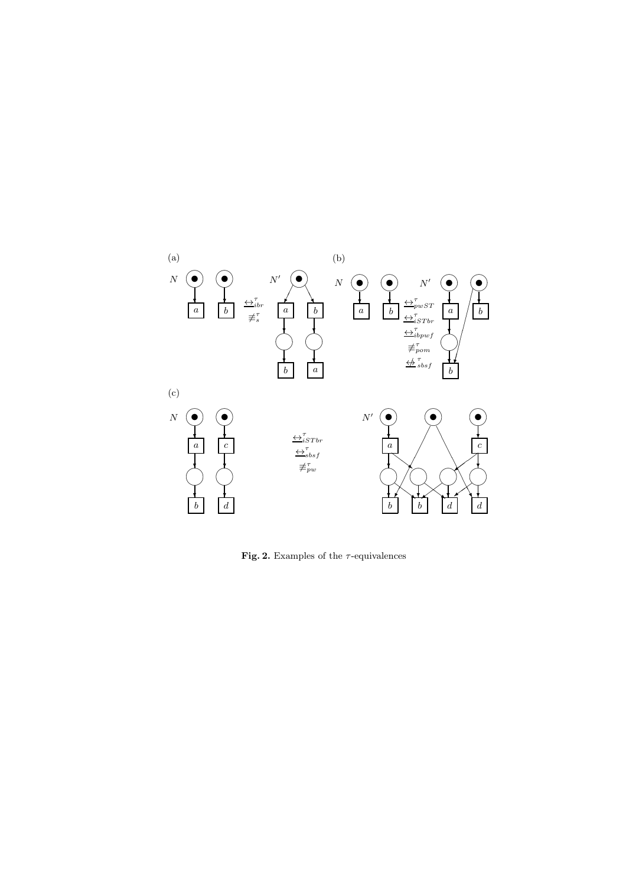

Fig. 2. Examples of the  $\tau\text{-equivalence}$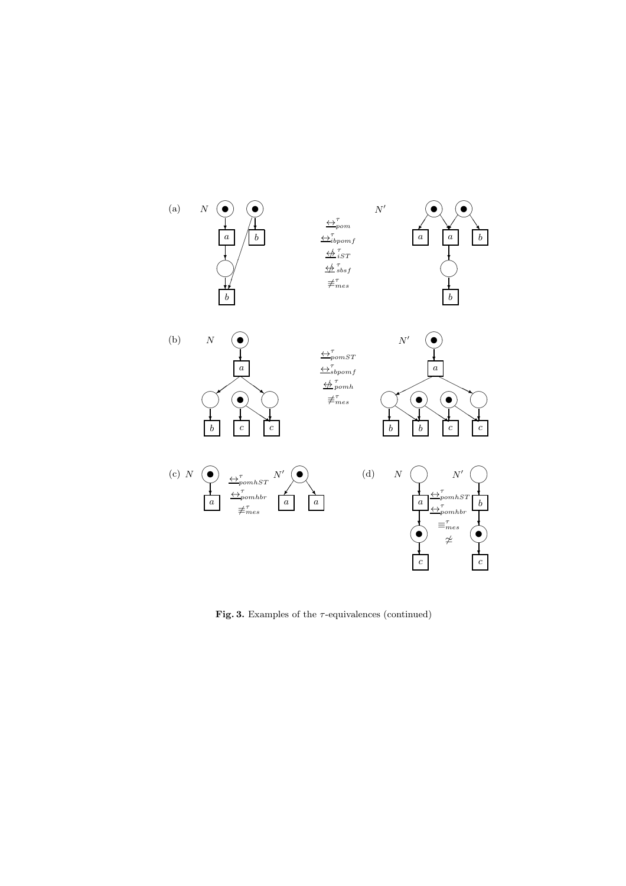

Fig. 3. Examples of the  $\tau$ -equivalences (continued)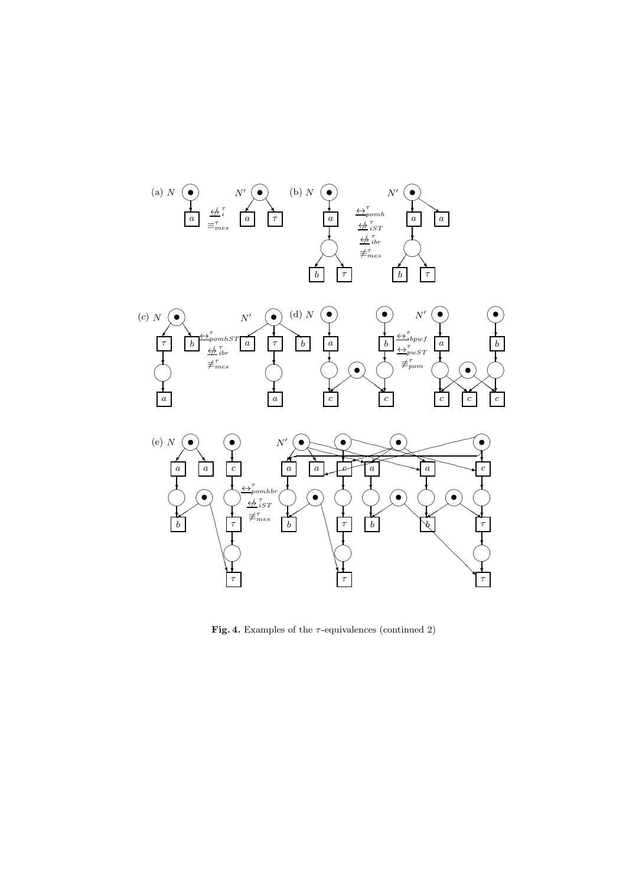

Fig. 4. Examples of the  $\tau$ -equivalences (continued 2)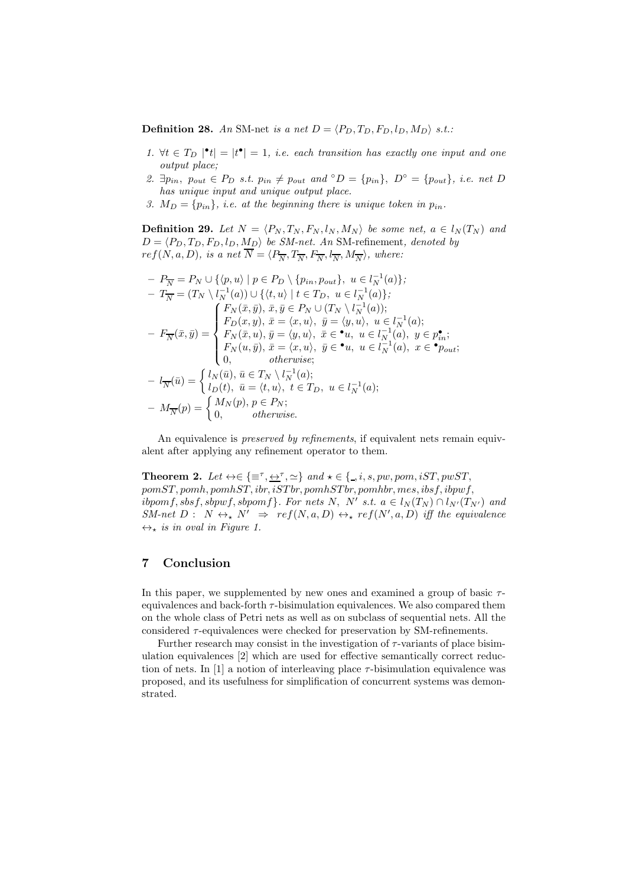**Definition 28.** An SM-net *is a net*  $D = \langle P_D, T_D, F_D, l_D, M_D \rangle$  *s.t.:* 

- 1.  $\forall t \in T_D \mid t \mid = |t^{\bullet}| = 1$ , *i.e.* each transition has exactly one input and one *output place;*
- 2.  $\exists p_{in}, p_{out} \in P_D \text{ s.t. } p_{in} \neq p_{out} \text{ and } \circ D = \{p_{in}\}, D^{\circ} = \{p_{out}\}, i.e. \text{ net } D$ *has unique input and unique output place.*
- *3.*  $M_D = \{p_{in}\}\$ , *i.e.* at the beginning there is unique token in  $p_{in}$ .

**Definition 29.** Let  $N = \langle P_N, T_N, F_N, l_N, M_N \rangle$  be some net,  $a \in l_N(T_N)$  and  $D = \langle P_D, T_D, F_D, l_D, M_D \rangle$  *be SM-net. An* SM-refinement, *denoted by*  $ref(N, a, D),$  is a net  $N = \langle P_{\overline{N}}, T_{\overline{N}}, F_{\overline{N}}, l_{\overline{N}}, M_{\overline{N}} \rangle$ , where:

$$
- P_{\overline{N}} = P_N \cup \{ \langle p, u \rangle \mid p \in P_D \setminus \{ p_{in}, p_{out} \}, u \in l_N^{-1}(a) \};
$$
  
\n
$$
- T_{\overline{N}} = (T_N \setminus l_N^{-1}(a)) \cup \{ \langle t, u \rangle \mid t \in T_D, u \in l_N^{-1}(a) \};
$$
  
\n
$$
- F_N(\bar{x}, \bar{y}) = \begin{cases} F_N(\bar{x}, \bar{y}), \bar{x}, \bar{y} \in P_N \cup (T_N \setminus l_N^{-1}(a)); \\ F_D(x, y), \bar{x} = \langle x, u \rangle, \bar{y} = \langle y, u \rangle, u \in l_N^{-1}(a); \\ F_N(\bar{x}, u), \bar{y} = \langle y, u \rangle, \bar{x} \in \mathbb{1}_M, u \in l_N^{-1}(a); \\ F_N(u, \bar{y}), \bar{x} = \langle x, u \rangle, \bar{y} \in \mathbb{1}_M, u \in l_N^{-1}(a), y \in p_{in}; \\ 0, \qquad \text{otherwise}; \end{cases}
$$
  
\n
$$
- l_{\overline{N}}(\bar{u}) = \begin{cases} l_N(\bar{u}), \bar{u} \in T_N \setminus l_N^{-1}(a); \\ l_D(t), \bar{u} = \langle t, u \rangle, t \in T_D, u \in l_N^{-1}(a); \\ 0, \qquad \text{otherwise}. \end{cases}
$$

An equivalence is *preserved by refinements*, if equivalent nets remain equivalent after applying any refinement operator to them.

**Theorem 2.** Let  $\leftrightarrow \in \{\equiv^{\tau}, \leftrightarrow^{\tau}, \simeq\}$  and  $\star \in \{., i, s, pw, pom, iST, pwST,$  $pomST, pomh, pomhST, ibr, iSTbr, pomhSTbr, pomhbr, mes, ibsf, ibpwf,$  $i\text{b}pomf, \text{sbsf}, \text{sb}pwf, \text{sb}pomf\}.$  For nets N, N' s.t.  $a \in l_N(T_N) \cap l_{N'}(T_{N'})$  and  $SM-net\ D:\ N\leftrightarrow_{\star} N' \Rightarrow ref(N,a,D)\leftrightarrow_{\star} ref(N',a,D)$  *iff the equivalence*  $\leftrightarrow_{\star}$  *is in oval in Figure 1.* 

# 7 Conclusion

In this paper, we supplemented by new ones and examined a group of basic  $\tau$ equivalences and back-forth  $\tau$ -bisimulation equivalences. We also compared them on the whole class of Petri nets as well as on subclass of sequential nets. All the considered  $\tau$ -equivalences were checked for preservation by SM-refinements.

Further research may consist in the investigation of  $\tau$ -variants of place bisimulation equivalences [2] which are used for effective semantically correct reduction of nets. In [1] a notion of interleaving place  $\tau$ -bisimulation equivalence was proposed, and its usefulness for simplification of concurrent systems was demonstrated.